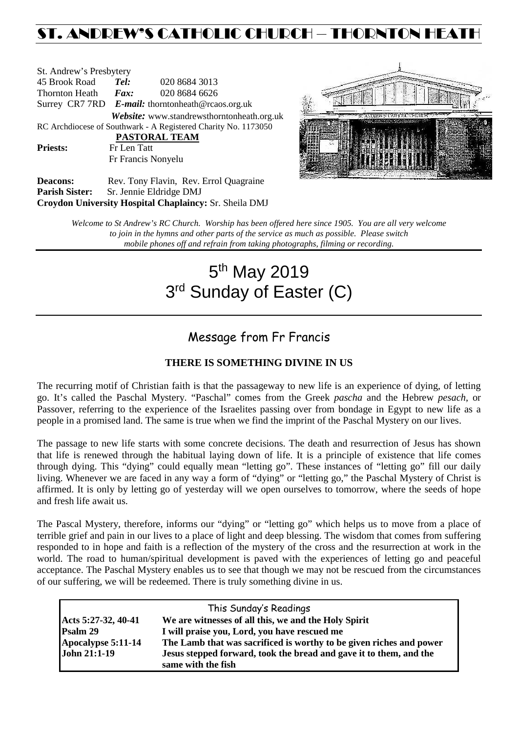# ST. ANDREW'S CATHOLIC CHURCH – THORNTON HEATH

St. Andrew's Presbytery<br>45 Brook Road Tel: 45 Brook Road *Tel:* 020 8684 3013 Thornton Heath *Fax:* 020 8684 6626 Surrey CR7 7RD *E-mail:* [thorntonheath@rcaos.org.uk](mailto:thorntonheath@rcaos.org.uk) *Website:* www.standrewsthorntonheath.org.uk RC Archdiocese of Southwark - A Registered Charity No. 1173050  **PASTORAL TEAM** Priests: Fr Len Tatt Fr Francis Nonyelu



**Deacons:** Rev. Tony Flavin, Rev. Errol Quagraine<br> **Parish Sister:** Sr. Jennie Eldridge DMJ **Sr. Jennie Eldridge DMJ Croydon University Hospital Chaplaincy:** Sr. Sheila DMJ

> *Welcome to St Andrew's RC Church. Worship has been offered here since 1905. You are all very welcome to join in the hymns and other parts of the service as much as possible. Please switch mobile phones off and refrain from taking photographs, filming or recording.*

# 5<sup>th</sup> May 2019 3<sup>rd</sup> Sunday of Easter (C)

### Message from Fr Francis

#### **THERE IS SOMETHING DIVINE IN US**

The recurring motif of Christian faith is that the passageway to new life is an experience of dying, of letting go. It's called the Paschal Mystery. "Paschal" comes from the Greek *pascha* and the Hebrew *pesach*, or Passover, referring to the experience of the Israelites passing over from bondage in Egypt to new life as a people in a promised land. The same is true when we find the imprint of the Paschal Mystery on our lives.

The passage to new life starts with some concrete decisions. The death and resurrection of Jesus has shown that life is renewed through the habitual laying down of life. It is a principle of existence that life comes through dying. This "dying" could equally mean "letting go". These instances of "letting go" fill our daily living. Whenever we are faced in any way a form of "dying" or "letting go," the Paschal Mystery of Christ is affirmed. It is only by letting go of yesterday will we open ourselves to tomorrow, where the seeds of hope and fresh life await us.

The Pascal Mystery, therefore, informs our "dying" or "letting go" which helps us to move from a place of terrible grief and pain in our lives to a place of light and deep blessing. The wisdom that comes from suffering responded to in hope and faith is a reflection of the mystery of the cross and the resurrection at work in the world. The road to human/spiritual development is paved with the experiences of letting go and peaceful acceptance. The Paschal Mystery enables us to see that though we may not be rescued from the circumstances of our suffering, we will be redeemed. There is truly something divine in us.

| This Sunday's Readings |                                                                     |  |  |
|------------------------|---------------------------------------------------------------------|--|--|
| Acts 5:27-32, 40-41    | We are witnesses of all this, we and the Holy Spirit                |  |  |
| <b>Psalm 29</b>        | I will praise you, Lord, you have rescued me                        |  |  |
| Apocalypse 5:11-14     | The Lamb that was sacrificed is worthy to be given riches and power |  |  |
| <b>John 21:1-19</b>    | Jesus stepped forward, took the bread and gave it to them, and the  |  |  |
|                        | same with the fish                                                  |  |  |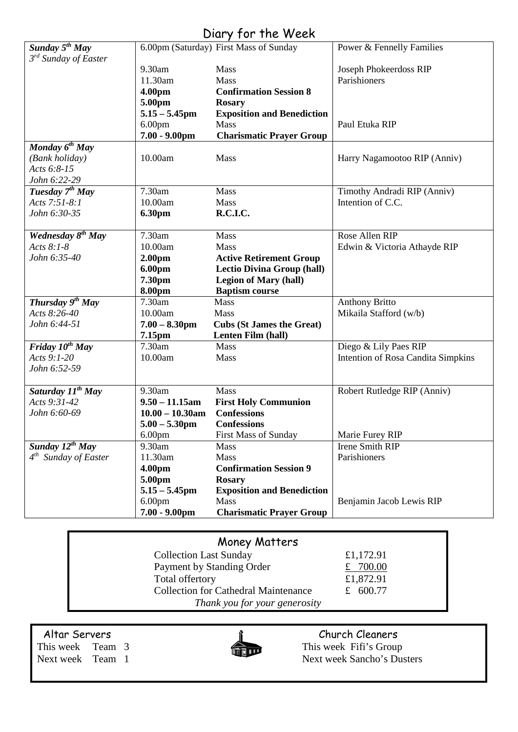### Diary for the Week

| <b>Sunday 5<sup>th</sup> May</b>      |                    | 6.00pm (Saturday) First Mass of Sunday | Power & Fennelly Families          |
|---------------------------------------|--------------------|----------------------------------------|------------------------------------|
| 3 <sup>rd</sup> Sunday of Easter      | 9.30am             | Mass                                   | Joseph Phokeerdoss RIP             |
|                                       | 11.30am            | Mass                                   | Parishioners                       |
|                                       | 4.00pm             | <b>Confirmation Session 8</b>          |                                    |
|                                       | 5.00pm             | <b>Rosary</b>                          |                                    |
|                                       | $5.15 - 5.45$ pm   | <b>Exposition and Benediction</b>      |                                    |
|                                       | 6.00 <sub>pm</sub> | Mass                                   | Paul Etuka RIP                     |
|                                       | $7.00 - 9.00$ pm   | <b>Charismatic Prayer Group</b>        |                                    |
| Monday $6^{th}$ May                   |                    |                                        |                                    |
| (Bank holiday)                        | 10.00am            | Mass                                   | Harry Nagamootoo RIP (Anniv)       |
| Acts 6:8-15                           |                    |                                        |                                    |
| John 6:22-29                          |                    |                                        |                                    |
| Tuesday 7 <sup>th</sup> May           | 7.30am             | Mass                                   | Timothy Andradi RIP (Anniv)        |
| Acts 7:51-8:1                         | 10.00am            | Mass                                   | Intention of C.C.                  |
| John 6:30-35                          | 6.30pm             | R.C.I.C.                               |                                    |
|                                       |                    |                                        |                                    |
| Wednesday $\overline{\delta^{th}$ May | 7.30am             | Mass                                   | Rose Allen RIP                     |
| Acts 8:1-8                            | 10.00am            | Mass                                   | Edwin & Victoria Athayde RIP       |
| John 6:35-40                          | 2.00 <sub>pm</sub> | <b>Active Retirement Group</b>         |                                    |
|                                       | 6.00pm             | <b>Lectio Divina Group (hall)</b>      |                                    |
|                                       | 7.30pm             | <b>Legion of Mary (hall)</b>           |                                    |
|                                       | 8.00pm             | <b>Baptism course</b>                  |                                    |
| Thursday $9^{th}$ May                 | 7.30am             | Mass                                   | Anthony Britto                     |
| Acts 8:26-40                          | 10.00am            | Mass                                   | Mikaila Stafford (w/b)             |
| John 6:44-51                          | $7.00 - 8.30$ pm   | <b>Cubs (St James the Great)</b>       |                                    |
|                                       | 7.15pm             | Lenten Film (hall)                     |                                    |
| Friday $10^{th}$ May                  | 7.30am             | Mass                                   | Diego & Lily Paes RIP              |
| Acts 9:1-20                           | 10.00am            | Mass                                   | Intention of Rosa Candita Simpkins |
| John 6:52-59                          |                    |                                        |                                    |
|                                       |                    |                                        |                                    |
| Saturday 11 <sup>th</sup> May         | 9.30am             | Mass                                   | Robert Rutledge RIP (Anniv)        |
| Acts 9:31-42                          | $9.50 - 11.15$ am  | <b>First Holy Communion</b>            |                                    |
| John 6:60-69                          | $10.00 - 10.30$ am | <b>Confessions</b>                     |                                    |
|                                       | $5.00 - 5.30$ pm   | <b>Confessions</b>                     |                                    |
|                                       | 6.00 <sub>pm</sub> | <b>First Mass of Sunday</b>            | Marie Furey RIP                    |
| Sunday $12^{th}$ May                  | 9.30am             | Mass                                   | Irene Smith RIP                    |
| 4 <sup>th</sup> Sunday of Easter      | 11.30am            | Mass                                   | Parishioners                       |
|                                       | 4.00pm             | <b>Confirmation Session 9</b>          |                                    |
|                                       | 5.00pm             | <b>Rosary</b>                          |                                    |
|                                       | $5.15 - 5.45$ pm   | <b>Exposition and Benediction</b>      |                                    |
|                                       | 6.00 <sub>pm</sub> | Mass                                   | Benjamin Jacob Lewis RIP           |
|                                       | $7.00 - 9.00$ pm   | <b>Charismatic Prayer Group</b>        |                                    |

## Money Matters

| <b>Collection Last Sunday</b>               | £1,172.91  |
|---------------------------------------------|------------|
| Payment by Standing Order                   | £ $700.00$ |
| Total offertory                             | £1,872.91  |
| <b>Collection for Cathedral Maintenance</b> | £ $600.77$ |
| Thank you for your generosity               |            |



Altar Servers<br>
This week Team 3<br>
This week Fifi's Group This week Team 3<br>Next week Team 1<br>Next week Sancho's Du Next week Sancho's Dusters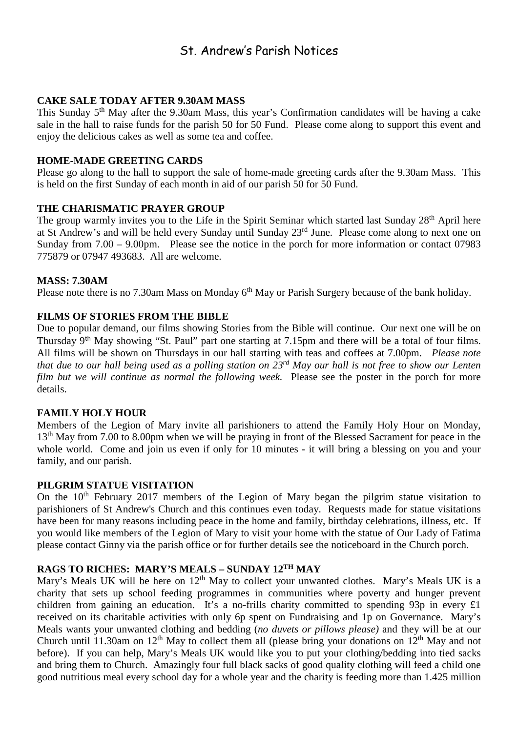### St. Andrew's Parish Notices

#### **CAKE SALE TODAY AFTER 9.30AM MASS**

This Sunday 5<sup>th</sup> May after the 9.30am Mass, this year's Confirmation candidates will be having a cake sale in the hall to raise funds for the parish 50 for 50 Fund. Please come along to support this event and enjoy the delicious cakes as well as some tea and coffee.

#### **HOME-MADE GREETING CARDS**

Please go along to the hall to support the sale of home-made greeting cards after the 9.30am Mass. This is held on the first Sunday of each month in aid of our parish 50 for 50 Fund.

#### **THE CHARISMATIC PRAYER GROUP**

The group warmly invites you to the Life in the Spirit Seminar which started last Sunday 28<sup>th</sup> April here at St Andrew's and will be held every Sunday until Sunday 23rd June. Please come along to next one on Sunday from 7.00 – 9.00pm. Please see the notice in the porch for more information or contact 07983 775879 or 07947 493683. All are welcome.

#### **MASS: 7.30AM**

Please note there is no 7.30am Mass on Monday 6<sup>th</sup> May or Parish Surgery because of the bank holiday.

#### **FILMS OF STORIES FROM THE BIBLE**

Due to popular demand, our films showing Stories from the Bible will continue. Our next one will be on Thursday 9th May showing "St. Paul" part one starting at 7.15pm and there will be a total of four films. All films will be shown on Thursdays in our hall starting with teas and coffees at 7.00pm. *Please note that due to our hall being used as a polling station on 23rd May our hall is not free to show our Lenten film but we will continue as normal the following week.* Please see the poster in the porch for more details.

#### **FAMILY HOLY HOUR**

Members of the Legion of Mary invite all parishioners to attend the Family Holy Hour on Monday, 13<sup>th</sup> May from 7.00 to 8.00pm when we will be praying in front of the Blessed Sacrament for peace in the whole world. Come and join us even if only for 10 minutes - it will bring a blessing on you and your family, and our parish.

#### **PILGRIM STATUE VISITATION**

On the 10<sup>th</sup> February 2017 members of the Legion of Mary began the pilgrim statue visitation to parishioners of St Andrew's Church and this continues even today. Requests made for statue visitations have been for many reasons including peace in the home and family, birthday celebrations, illness, etc. If you would like members of the Legion of Mary to visit your home with the statue of Our Lady of Fatima please contact Ginny via the parish office or for further details see the noticeboard in the Church porch.

#### **RAGS TO RICHES: MARY'S MEALS – SUNDAY 12TH MAY**

Mary's Meals UK will be here on  $12<sup>th</sup>$  May to collect your unwanted clothes. Mary's Meals UK is a charity that sets up school feeding programmes in communities where poverty and hunger prevent children from gaining an education. It's a no-frills charity committed to spending 93p in every £1 received on its charitable activities with only 6p spent on Fundraising and 1p on Governance. Mary's Meals wants your unwanted clothing and bedding (*no duvets or pillows please)* and they will be at our Church until 11.30am on 12<sup>th</sup> May to collect them all (please bring your donations on 12<sup>th</sup> May and not before). If you can help, Mary's Meals UK would like you to put your clothing/bedding into tied sacks and bring them to Church. Amazingly four full black sacks of good quality clothing will feed a child one good nutritious meal every school day for a whole year and the charity is feeding more than 1.425 million